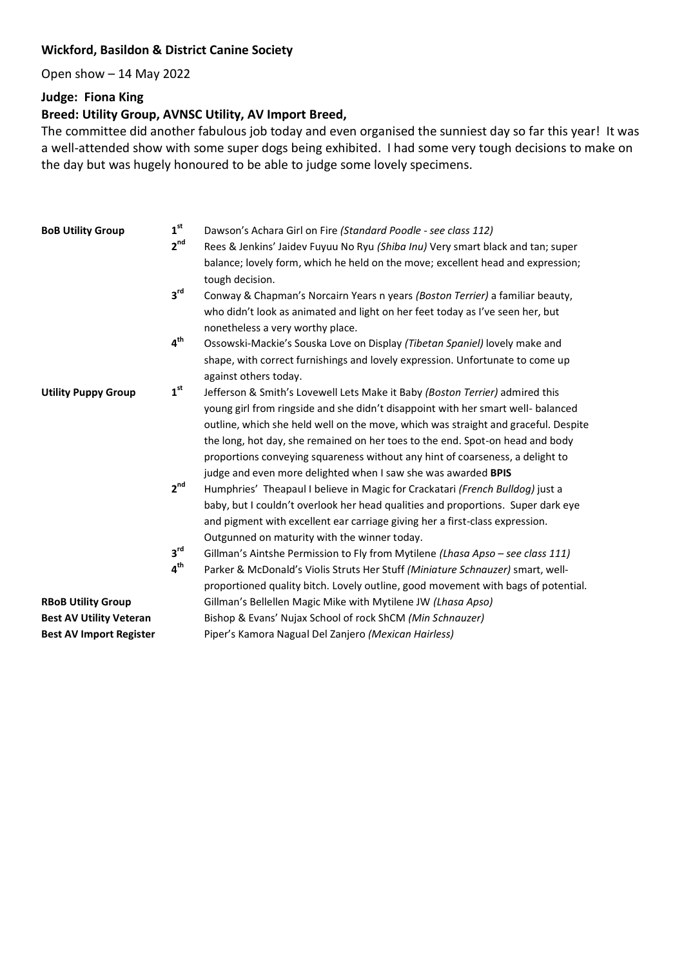## **Wickford, Basildon & District Canine Society**

Open show – 14 May 2022

## **Judge: Fiona King**

## **Breed: Utility Group, AVNSC Utility, AV Import Breed,**

The committee did another fabulous job today and even organised the sunniest day so far this year! It was a well-attended show with some super dogs being exhibited. I had some very tough decisions to make on the day but was hugely honoured to be able to judge some lovely specimens.

| <b>BoB Utility Group</b>       | 1 <sup>st</sup><br>2 <sup>nd</sup> | Dawson's Achara Girl on Fire (Standard Poodle - see class 112)<br>Rees & Jenkins' Jaidev Fuyuu No Ryu (Shiba Inu) Very smart black and tan; super<br>balance; lovely form, which he held on the move; excellent head and expression; |
|--------------------------------|------------------------------------|--------------------------------------------------------------------------------------------------------------------------------------------------------------------------------------------------------------------------------------|
|                                | $3^{\text{rd}}$                    | tough decision.<br>Conway & Chapman's Norcairn Years n years (Boston Terrier) a familiar beauty,                                                                                                                                     |
|                                |                                    | who didn't look as animated and light on her feet today as I've seen her, but<br>nonetheless a very worthy place.                                                                                                                    |
|                                | 4 <sup>th</sup>                    | Ossowski-Mackie's Souska Love on Display (Tibetan Spaniel) lovely make and                                                                                                                                                           |
|                                |                                    | shape, with correct furnishings and lovely expression. Unfortunate to come up<br>against others today.                                                                                                                               |
| <b>Utility Puppy Group</b>     | 1 <sup>st</sup>                    | Jefferson & Smith's Lovewell Lets Make it Baby (Boston Terrier) admired this                                                                                                                                                         |
|                                |                                    | young girl from ringside and she didn't disappoint with her smart well- balanced                                                                                                                                                     |
|                                |                                    | outline, which she held well on the move, which was straight and graceful. Despite                                                                                                                                                   |
|                                |                                    | the long, hot day, she remained on her toes to the end. Spot-on head and body                                                                                                                                                        |
|                                |                                    | proportions conveying squareness without any hint of coarseness, a delight to                                                                                                                                                        |
|                                |                                    | judge and even more delighted when I saw she was awarded BPIS                                                                                                                                                                        |
|                                | 2 <sup>nd</sup>                    | Humphries' Theapaul I believe in Magic for Crackatari (French Bulldog) just a                                                                                                                                                        |
|                                |                                    | baby, but I couldn't overlook her head qualities and proportions. Super dark eye                                                                                                                                                     |
|                                |                                    | and pigment with excellent ear carriage giving her a first-class expression.                                                                                                                                                         |
|                                |                                    | Outgunned on maturity with the winner today.                                                                                                                                                                                         |
|                                | $3^{\text{rd}}$                    | Gillman's Aintshe Permission to Fly from Mytilene (Lhasa Apso - see class 111)                                                                                                                                                       |
|                                | $4^{\text{th}}$                    | Parker & McDonald's Violis Struts Her Stuff (Miniature Schnauzer) smart, well-                                                                                                                                                       |
|                                |                                    | proportioned quality bitch. Lovely outline, good movement with bags of potential.                                                                                                                                                    |
| <b>RBoB Utility Group</b>      |                                    | Gillman's Bellellen Magic Mike with Mytilene JW (Lhasa Apso)                                                                                                                                                                         |
| <b>Best AV Utility Veteran</b> |                                    | Bishop & Evans' Nujax School of rock ShCM (Min Schnauzer)                                                                                                                                                                            |
| <b>Best AV Import Register</b> |                                    | Piper's Kamora Nagual Del Zanjero (Mexican Hairless)                                                                                                                                                                                 |